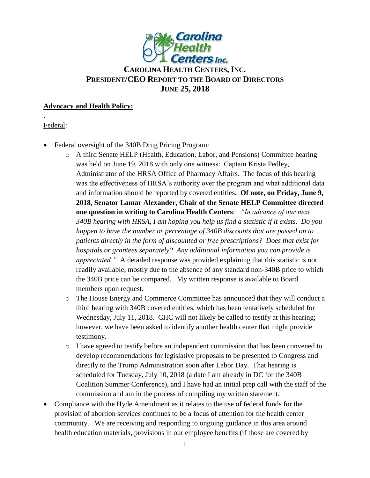

# **CAROLINA HEALTH CENTERS,INC. PRESIDENT/CEO REPORT TO THE BOARD OF DIRECTORS JUNE 25, 2018**

#### **Advocacy and Health Policy:**

### Federal:

.

- Federal oversight of the 340B Drug Pricing Program:
	- o A third Senate HELP (Health, Education, Labor, and Pensions) Committee hearing was held on June 19, 2018 with only one witness: Captain Krista Pedley, Administrator of the HRSA Office of Pharmacy Affairs. The focus of this hearing was the effectiveness of HRSA's authority over the program and what additional data and information should be reported by covered entities**. Of note, on Friday, June 9, 2018, Senator Lamar Alexander, Chair of the Senate HELP Committee directed one question in writing to Carolina Health Centers**: *"In advance of our next 340B hearing with HRSA, I am hoping you help us find a statistic if it exists. Do you happen to have the number or percentage of 340B discounts that are passed on to patients directly in the form of discounted or free prescriptions? Does that exist for hospitals or grantees separately? Any additional information you can provide is appreciated."* A detailed response was provided explaining that this statistic is not readily available, mostly due to the absence of any standard non-340B price to which the 340B price can be compared. My written response is available to Board members upon request.
	- o The House Energy and Commerce Committee has announced that they will conduct a third hearing with 340B covered entities, which has been tentatively scheduled for Wednesday, July 11, 2018. CHC will not likely be called to testify at this hearing; however, we have been asked to identify another health center that might provide testimony.
	- o I have agreed to testify before an independent commission that has been convened to develop recommendations for legislative proposals to be presented to Congress and directly to the Trump Administration soon after Labor Day. That hearing is scheduled for Tuesday, July 10, 2018 (a date I am already in DC for the 340B Coalition Summer Conference), and I have had an initial prep call with the staff of the commission and am in the process of compiling my written statement.
- Compliance with the Hyde Amendment as it relates to the use of federal funds for the provision of abortion services continues to be a focus of attention for the health center community. We are receiving and responding to ongoing guidance in this area around health education materials, provisions in our employee benefits (if those are covered by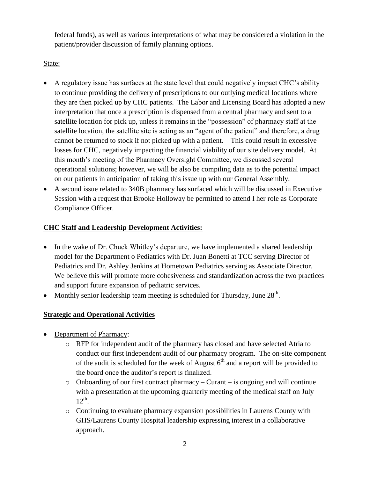federal funds), as well as various interpretations of what may be considered a violation in the patient/provider discussion of family planning options.

### State:

- A regulatory issue has surfaces at the state level that could negatively impact CHC's ability to continue providing the delivery of prescriptions to our outlying medical locations where they are then picked up by CHC patients. The Labor and Licensing Board has adopted a new interpretation that once a prescription is dispensed from a central pharmacy and sent to a satellite location for pick up, unless it remains in the "possession" of pharmacy staff at the satellite location, the satellite site is acting as an "agent of the patient" and therefore, a drug cannot be returned to stock if not picked up with a patient. This could result in excessive losses for CHC, negatively impacting the financial viability of our site delivery model. At this month's meeting of the Pharmacy Oversight Committee, we discussed several operational solutions; however, we will be also be compiling data as to the potential impact on our patients in anticipation of taking this issue up with our General Assembly.
- A second issue related to 340B pharmacy has surfaced which will be discussed in Executive Session with a request that Brooke Holloway be permitted to attend I her role as Corporate Compliance Officer.

### **CHC Staff and Leadership Development Activities:**

- In the wake of Dr. Chuck Whitley's departure, we have implemented a shared leadership model for the Department o Pediatrics with Dr. Juan Bonetti at TCC serving Director of Pediatrics and Dr. Ashley Jenkins at Hometown Pediatrics serving as Associate Director. We believe this will promote more cohesiveness and standardization across the two practices and support future expansion of pediatric services.
- Monthly senior leadership team meeting is scheduled for Thursday, June  $28<sup>th</sup>$ .

## **Strategic and Operational Activities**

- Department of Pharmacy:
	- o RFP for independent audit of the pharmacy has closed and have selected Atria to conduct our first independent audit of our pharmacy program. The on-site component of the audit is scheduled for the week of August  $6<sup>th</sup>$  and a report will be provided to the board once the auditor's report is finalized.
	- $\circ$  Onboarding of our first contract pharmacy Curant is ongoing and will continue with a presentation at the upcoming quarterly meeting of the medical staff on July  $12^{th}$ .
	- o Continuing to evaluate pharmacy expansion possibilities in Laurens County with GHS/Laurens County Hospital leadership expressing interest in a collaborative approach.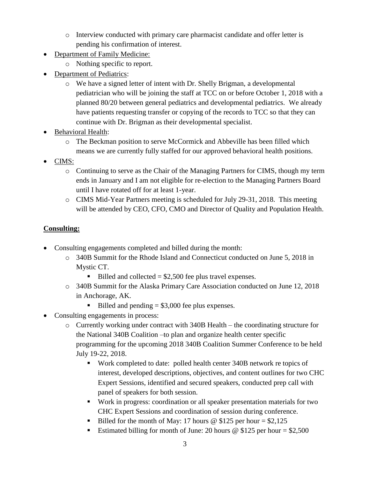- o Interview conducted with primary care pharmacist candidate and offer letter is pending his confirmation of interest.
- Department of Family Medicine:
	- o Nothing specific to report.
- Department of Pediatrics:
	- o We have a signed letter of intent with Dr. Shelly Brigman, a developmental pediatrician who will be joining the staff at TCC on or before October 1, 2018 with a planned 80/20 between general pediatrics and developmental pediatrics. We already have patients requesting transfer or copying of the records to TCC so that they can continue with Dr. Brigman as their developmental specialist.
- Behavioral Health:
	- o The Beckman position to serve McCormick and Abbeville has been filled which means we are currently fully staffed for our approved behavioral health positions.
- CIMS:
	- o Continuing to serve as the Chair of the Managing Partners for CIMS, though my term ends in January and I am not eligible for re-election to the Managing Partners Board until I have rotated off for at least 1-year.
	- o CIMS Mid-Year Partners meeting is scheduled for July 29-31, 2018. This meeting will be attended by CEO, CFO, CMO and Director of Quality and Population Health.

### **Consulting:**

- Consulting engagements completed and billed during the month:
	- o 340B Summit for the Rhode Island and Connecticut conducted on June 5, 2018 in Mystic CT.
		- $\blacksquare$  Billed and collected = \$2,500 fee plus travel expenses.
	- o 340B Summit for the Alaska Primary Care Association conducted on June 12, 2018 in Anchorage, AK.
		- $\blacksquare$  Billed and pending = \$3,000 fee plus expenses.
- Consulting engagements in process:
	- o Currently working under contract with 340B Health the coordinating structure for the National 340B Coalition –to plan and organize health center specific programming for the upcoming 2018 340B Coalition Summer Conference to be held July 19-22, 2018.
		- Work completed to date: polled health center 340B network re topics of interest, developed descriptions, objectives, and content outlines for two CHC Expert Sessions, identified and secured speakers, conducted prep call with panel of speakers for both session.
		- Work in progress: coordination or all speaker presentation materials for two CHC Expert Sessions and coordination of session during conference.
		- Billed for the month of May: 17 hours  $\omega$  \$125 per hour = \$2,125
		- Estimated billing for month of June: 20 hours  $\omega$  \$125 per hour = \$2,500